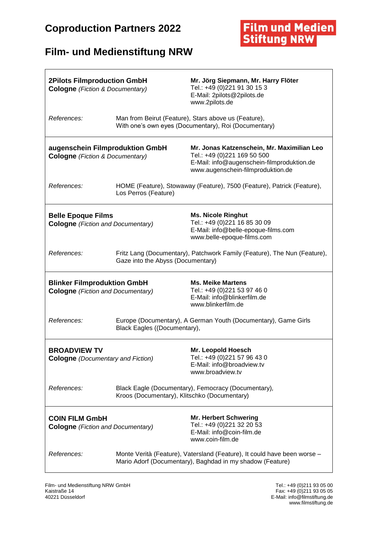### **Film- und Medienstiftung NRW**



| <b>2Pilots Filmproduction GmbH</b><br><b>Cologne</b> (Fiction & Documentary)   |                                              | Mr. Jörg Siepmann, Mr. Harry Flöter<br>Tel.: +49 (0)221 91 30 15 3<br>E-Mail: 2pilots@2pilots.de<br>www.2pilots.de                                           |
|--------------------------------------------------------------------------------|----------------------------------------------|--------------------------------------------------------------------------------------------------------------------------------------------------------------|
| References:                                                                    |                                              | Man from Beirut (Feature), Stars above us (Feature),<br>With one's own eyes (Documentary), Roi (Documentary)                                                 |
| augenschein Filmproduktion GmbH<br><b>Cologne</b> (Fiction & Documentary)      |                                              | Mr. Jonas Katzenschein, Mr. Maximilian Leo<br>Tel.: +49 (0)221 169 50 500<br>E-Mail: info@augenschein-filmproduktion.de<br>www.augenschein-filmproduktion.de |
| References:                                                                    | Los Perros (Feature)                         | HOME (Feature), Stowaway (Feature), 7500 (Feature), Patrick (Feature),                                                                                       |
| <b>Belle Epoque Films</b><br><b>Cologne</b> (Fiction and Documentary)          |                                              | <b>Ms. Nicole Ringhut</b><br>Tel.: +49 (0)221 16 85 30 09<br>E-Mail: info@belle-epoque-films.com<br>www.belle-epoque-films.com                               |
| References:                                                                    | Gaze into the Abyss (Documentary)            | Fritz Lang (Documentary), Patchwork Family (Feature), The Nun (Feature),                                                                                     |
| <b>Blinker Filmproduktion GmbH</b><br><b>Cologne</b> (Fiction and Documentary) |                                              | <b>Ms. Meike Martens</b><br>Tel.: +49 (0)221 53 97 46 0<br>E-Mail: info@blinkerfilm.de<br>www.blinkerfilm.de                                                 |
| References:                                                                    | Black Eagles ((Documentary),                 | Europe (Documentary), A German Youth (Documentary), Game Girls                                                                                               |
| <b>BROADVIEW TV</b><br><b>Cologne</b> (Documentary and Fiction)                |                                              | Mr. Leopold Hoesch<br>Tel.: +49 (0)221 57 96 43 0<br>E-Mail: info@broadview.tv<br>www.broadview.tv                                                           |
| References:                                                                    | Kroos (Documentary), Klitschko (Documentary) | Black Eagle (Documentary), Femocracy (Documentary),                                                                                                          |
| <b>COIN FILM GmbH</b><br><b>Cologne</b> (Fiction and Documentary)              |                                              | <b>Mr. Herbert Schwering</b><br>Tel.: +49 (0)221 32 20 53<br>E-Mail: info@coin-film.de<br>www.coin-film.de                                                   |
| References:                                                                    |                                              | Monte Verità (Feature), Vatersland (Feature), It could have been worse -<br>Mario Adorf (Documentary), Baghdad in my shadow (Feature)                        |

Film- und Medienstiftung NRW GmbH<br>Kaistraße 14 december 1990 1991 1990 1991 1992 1993 1994 1994 1994 1995 1996 1997<br>Fax: +49 (0)211 93 05 05 Kaistraße 14 Fax: +49 (0)211 93 05 05 40221 Düsseldorf E-Mail: info@filmstiftung.de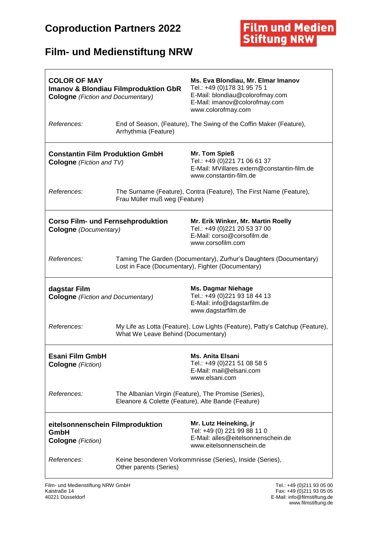### **Film- und Medienstiftung NRW**



| <b>COLOR OF MAY</b><br><b>Cologne</b> (Fiction and Documentary)           | <b>Imanov &amp; Blondiau Filmproduktion GbR</b> | Ms. Eva Blondiau, Mr. Elmar Imanov<br>Tel.: +49 (0)178 31 95 75 1<br>E-Mail: blondiau@colorofmay.com<br>E-Mail: imanov@colorofmay.com<br>www.colorofmay.com |
|---------------------------------------------------------------------------|-------------------------------------------------|-------------------------------------------------------------------------------------------------------------------------------------------------------------|
| References:                                                               | Arrhythmia (Feature)                            | End of Season, (Feature), The Swing of the Coffin Maker (Feature),                                                                                          |
| <b>Constantin Film Produktion GmbH</b><br><b>Cologne</b> (Fiction and TV) |                                                 | <b>Mr. Tom Spieß</b><br>Tel.: +49 (0)221 71 06 61 37<br>E-Mail: MVillares.extern@constantin-film.de<br>www.constantin-film.de                               |
| References:                                                               | Frau Müller muß weg (Feature)                   | The Surname (Feature), Contra (Feature), The First Name (Feature),                                                                                          |
| <b>Corso Film- und Fernsehproduktion</b><br>Cologne (Documentary)         |                                                 | Mr. Erik Winker, Mr. Martin Roelly<br>Tel.: +49 (0)221 20 53 37 00<br>E-Mail: corso@corsofilm.de<br>www.corsofilm.com                                       |
| References:                                                               |                                                 | Taming The Garden (Documentary), Zurhur's Daughters (Documentary)<br>Lost in Face (Documentary), Fighter (Documentary)                                      |
| dagstar Film<br><b>Cologne</b> (Fiction and Documentary)                  |                                                 | <b>Ms. Dagmar Niehage</b><br>Tel.: +49 (0)221 93 18 44 13<br>E-Mail: info@dagstarfilm.de<br>www.dagstarfilm.de                                              |
| References:                                                               | What We Leave Behind (Documentary)              | My Life as Lotta (Feature), Low Lights (Feature), Patty's Catchup (Feature),                                                                                |
| <b>Esani Film GmbH</b><br><b>Cologne</b> (Fiction)                        |                                                 | <b>Ms. Anita Elsani</b><br>Tel.: +49 (0)221 51 08 58 5<br>E-Mail: mail@elsani.com<br>www.elsani.com                                                         |
| References:                                                               |                                                 | The Albanian Virgin (Feature), The Promise (Series),<br>Eleanore & Colette (Feature), Alte Bande (Feature)                                                  |
| eitelsonnenschein Filmproduktion<br>GmbH<br>Cologne (Fiction)             |                                                 | Mr. Lutz Heineking, jr<br>Tel: +49 (0) 221 99 88 11 0<br>E-Mail: alles@eitelsonnenschein.de<br>www.eitelsonnenschein.de                                     |
| References:                                                               | Other parents (Series)                          | Keine besonderen Vorkommnisse (Series), Inside (Series),                                                                                                    |

Film- und Medienstiftung NRW GmbH<br>Kaistraße 14 december 1990 1991 1990 1991 1992 1993 1994 1994 1994 1995 1996 1997<br>Fax: +49 (0)211 93 05 05 Kaistraße 14 Fax: +49 (0)211 93 05 05 40221 Düsseldorf E-Mail: info@filmstiftung.de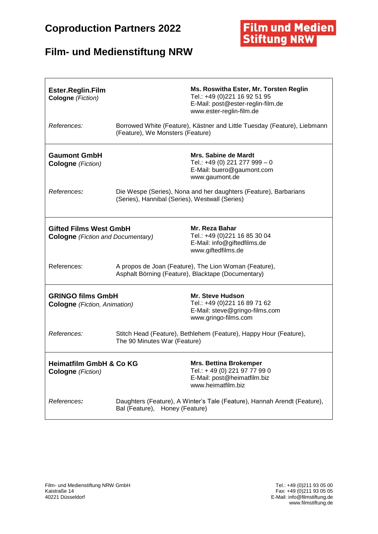### **Film- und Medienstiftung NRW**



| Ester.Reglin.Film<br>Cologne (Fiction)                                    |                                                | Ms. Roswitha Ester, Mr. Torsten Reglin<br>Tel.: +49 (0)221 16 92 51 95<br>E-Mail: post@ester-reglin-film.de<br>www.ester-reglin-film.de |
|---------------------------------------------------------------------------|------------------------------------------------|-----------------------------------------------------------------------------------------------------------------------------------------|
| References:                                                               | (Feature), We Monsters (Feature)               | Borrowed White (Feature), Kästner and Little Tuesday (Feature), Liebmann                                                                |
| <b>Gaumont GmbH</b><br>Cologne (Fiction)                                  |                                                | Mrs. Sabine de Mardt<br>Tel.: +49 (0) 221 277 999 - 0<br>E-Mail: buero@gaumont.com<br>www.gaumont.de                                    |
| References:                                                               | (Series), Hannibal (Series), Westwall (Series) | Die Wespe (Series), Nona and her daughters (Feature), Barbarians                                                                        |
| <b>Gifted Films West GmbH</b><br><b>Cologne</b> (Fiction and Documentary) |                                                | Mr. Reza Bahar<br>Tel.: +49 (0)221 16 85 30 04<br>E-Mail: info@giftedfilms.de<br>www.giftedfilms.de                                     |
| References:                                                               |                                                | A propos de Joan (Feature), The Lion Woman (Feature),<br>Asphalt Börning (Feature), Blacktape (Documentary)                             |
| <b>GRINGO films GmbH</b><br><b>Cologne</b> (Fiction, Animation)           |                                                | <b>Mr. Steve Hudson</b><br>Tel.: +49 (0)221 16 89 71 62<br>E-Mail: steve@gringo-films.com<br>www.gringo-films.com                       |
| References:                                                               | The 90 Minutes War (Feature)                   | Stitch Head (Feature), Bethlehem (Feature), Happy Hour (Feature),                                                                       |
| Heimatfilm GmbH & Co KG<br>Cologne (Fiction)                              |                                                | <b>Mrs. Bettina Brokemper</b><br>Tel.: +49 (0) 221 97 77 99 0<br>E-Mail: post@heimatfilm.biz<br>www.heimatfilm.biz                      |
| References:                                                               | Bal (Feature), Honey (Feature)                 | Daughters (Feature), A Winter's Tale (Feature), Hannah Arendt (Feature),                                                                |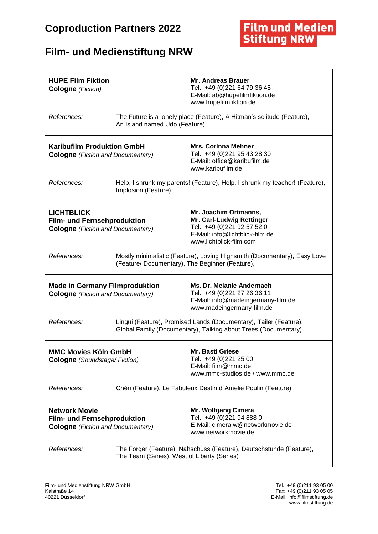#### **Film- und Medienstiftung NRW**



| <b>HUPE Film Fiktion</b><br><b>Cologne</b> (Fiction)                                                   |                                                 | <b>Mr. Andreas Brauer</b><br>Tel.: +49 (0)221 64 79 36 48<br>E-Mail: ab@hupefilmfiktion.de<br>www.hupefilmfiktion.de                                   |
|--------------------------------------------------------------------------------------------------------|-------------------------------------------------|--------------------------------------------------------------------------------------------------------------------------------------------------------|
| References:                                                                                            | An Island named Udo (Feature)                   | The Future is a lonely place (Feature), A Hitman's solitude (Feature),                                                                                 |
| <b>Karibufilm Produktion GmbH</b><br><b>Cologne</b> (Fiction and Documentary)                          |                                                 | <b>Mrs. Corinna Mehner</b><br>Tel.: +49 (0)221 95 43 28 30<br>E-Mail: office@karibufilm.de<br>www.karibufilm.de                                        |
| References:                                                                                            | Implosion (Feature)                             | Help, I shrunk my parents! (Feature), Help, I shrunk my teacher! (Feature),                                                                            |
| <b>LICHTBLICK</b><br><b>Film- und Fernsehproduktion</b><br><b>Cologne</b> (Fiction and Documentary)    |                                                 | Mr. Joachim Ortmanns,<br><b>Mr. Carl-Ludwig Rettinger</b><br>Tel.: +49 (0)221 92 57 52 0<br>E-Mail: info@lichtblick-film.de<br>www.lichtblick-film.com |
| References:                                                                                            | (Feature/ Documentary), The Beginner (Feature), | Mostly minimalistic (Feature), Loving Highsmith (Documentary), Easy Love                                                                               |
| <b>Made in Germany Filmproduktion</b><br><b>Cologne</b> (Fiction and Documentary)                      |                                                 | Ms. Dr. Melanie Andernach<br>Tel.: +49 (0)221 27 26 36 11<br>E-Mail: info@madeingermany-film.de<br>www.madeingermany-film.de                           |
| References:                                                                                            |                                                 | Lingui (Feature), Promised Lands (Documentary), Tailer (Feature),<br>Global Family (Documentary), Talking about Trees (Documentary)                    |
| <b>MMC Movies Köln GmbH</b><br><b>Cologne</b> (Soundstage/ Fiction)                                    |                                                 | Mr. Basti Griese<br>Tel.: +49 (0)221 25 00<br>E-Mail: film@mmc.de<br>www.mmc-studios.de / www.mmc.de                                                   |
| References:                                                                                            |                                                 | Chéri (Feature), Le Fabuleux Destin d'Amelie Poulin (Feature)                                                                                          |
| <b>Network Movie</b><br><b>Film- und Fernsehproduktion</b><br><b>Cologne</b> (Fiction and Documentary) |                                                 | <b>Mr. Wolfgang Cimera</b><br>Tel.: +49 (0)221 94 888 0<br>E-Mail: cimera.w@networkmovie.de<br>www.networkmovie.de                                     |
| References:                                                                                            | The Team (Series), West of Liberty (Series)     | The Forger (Feature), Nahschuss (Feature), Deutschstunde (Feature),                                                                                    |

Film- und Medienstiftung NRW GmbH<br>Kaistraße 14 december 1990 1991 1990 1991 1992 1993 1994 1994 1994 1995 1996 1997<br>Fax: +49 (0)211 93 05 05 Kaistraße 14 Fax: +49 (0)211 93 05 05<br>40221 Düsseldorf E-Mail: info@filmstiftung.de 40221 Düsseldorf E-Mail: info@filmstiftung.de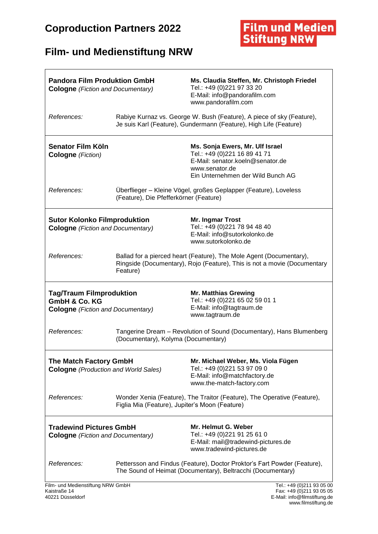#### **Film- und Medienstiftung NRW**



| <b>Pandora Film Produktion GmbH</b><br><b>Cologne</b> (Fiction and Documentary)              |                                                | Ms. Claudia Steffen, Mr. Christoph Friedel<br>Tel.: +49 (0)221 97 33 20<br>E-Mail: info@pandorafilm.com<br>www.pandorafilm.com                                       |
|----------------------------------------------------------------------------------------------|------------------------------------------------|----------------------------------------------------------------------------------------------------------------------------------------------------------------------|
| References:                                                                                  |                                                | Rabiye Kurnaz vs. George W. Bush (Feature), A piece of sky (Feature),<br>Je suis Karl (Feature), Gundermann (Feature), High Life (Feature)                           |
| Senator Film Köln<br>Cologne (Fiction)                                                       |                                                | Ms. Sonja Ewers, Mr. Ulf Israel<br>Tel.: +49 (0)221 16 89 41 71<br>E-Mail: senator.koeln@senator.de<br>www.senator.de<br>Ein Unternehmen der Wild Bunch AG           |
| <i>References:</i>                                                                           | (Feature), Die Pfefferkörner (Feature)         | Überflieger – Kleine Vögel, großes Geplapper (Feature), Loveless                                                                                                     |
| <b>Sutor Kolonko Filmproduktion</b><br><b>Cologne</b> (Fiction and Documentary)              |                                                | Mr. Ingmar Trost<br>Tel.: +49 (0)221 78 94 48 40<br>E-Mail: info@sutorkolonko.de<br>www.sutorkolonko.de                                                              |
| References:                                                                                  | Feature)                                       | Ballad for a pierced heart (Feature), The Mole Agent (Documentary),<br>Ringside (Documentary), Rojo (Feature), This is not a movie (Documentary                      |
| <b>Tag/Traum Filmproduktion</b><br>GmbH & Co. KG<br><b>Cologne</b> (Fiction and Documentary) |                                                | <b>Mr. Matthias Grewing</b><br>Tel.: +49 (0)221 65 02 59 01 1<br>E-Mail: info@tagtraum.de<br>www.tagtraum.de                                                         |
| References:                                                                                  | (Documentary), Kolyma (Documentary)            | Tangerine Dream - Revolution of Sound (Documentary), Hans Blumenberg                                                                                                 |
| <b>The Match Factory GmbH</b><br><b>Cologne</b> (Production and World Sales)                 |                                                | Mr. Michael Weber, Ms. Viola Fügen<br>Tel.: +49 (0)221 53 97 09 0<br>E-Mail: info@matchfactory.de<br>www.the-match-factory.com                                       |
| References:                                                                                  | Figlia Mia (Feature), Jupiter's Moon (Feature) | Wonder Xenia (Feature), The Traitor (Feature), The Operative (Feature),                                                                                              |
| <b>Tradewind Pictures GmbH</b><br><b>Cologne</b> (Fiction and Documentary)                   |                                                | Mr. Helmut G. Weber<br>Tel.: +49 (0)221 91 25 61 0<br>E-Mail: mail@tradewind-pictures.de<br>www.tradewind-pictures.de                                                |
| References:<br>und Modionatiffung NDM CmbH                                                   |                                                | Pettersson and Findus (Feature), Doctor Proktor's Fart Powder (Feature),<br>The Sound of Heimat (Documentary), Beltracchi (Documentary)<br>$T_{el}$ $(10.0344026500$ |

Film- und Medienstiftung NRW GmbH<br>Kaistraße 14 Kaistraße 14 Fax: +49 (0)211 93 05 05 40221 Düsseldorf E-Mail: info@filmstiftung.de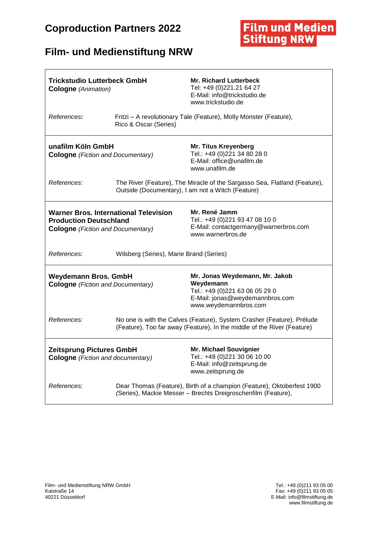#### **Film- und Medienstiftung NRW**



| <b>Trickstudio Lutterbeck GmbH</b><br><b>Cologne</b> (Animation)                                                          |                                         | <b>Mr. Richard Lutterbeck</b><br>Tel: +49 (0)221.21 64 27<br>E-Mail: info@trickstudio.de<br>www.trickstudio.de                                    |
|---------------------------------------------------------------------------------------------------------------------------|-----------------------------------------|---------------------------------------------------------------------------------------------------------------------------------------------------|
| References:                                                                                                               | Rico & Oscar (Series)                   | Fritzi - A revolutionary Tale (Feature), Molly Monster (Feature),                                                                                 |
| unafilm Köln GmbH<br><b>Cologne</b> (Fiction and Documentary)                                                             |                                         | <b>Mr. Titus Kreyenberg</b><br>Tel.: +49 (0)221 34 80 28 0<br>E-Mail: office@unafilm.de<br>www.unafilm.de                                         |
| <i>References:</i>                                                                                                        |                                         | The River (Feature), The Miracle of the Sargasso Sea, Flatland (Feature),<br>Outside (Documentary), I am not a Witch (Feature)                    |
| <b>Warner Bros. International Television</b><br><b>Production Deutschland</b><br><b>Cologne</b> (Fiction and Documentary) |                                         | Mr. René Jamm<br>Tel.: +49 (0)221 93 47 08 10 0<br>E-Mail: contactgermany@warnerbros.com<br>www.warnerbros.de                                     |
| References:                                                                                                               | Wilsberg (Series), Marie Brand (Series) |                                                                                                                                                   |
| <b>Weydemann Bros. GmbH</b><br><b>Cologne</b> (Fiction and Documentary)                                                   |                                         | Mr. Jonas Weydemann, Mr. Jakob<br>Weydemann<br>Tel.: +49 (0)221 63 06 05 29 0<br>E-Mail: jonas@weydemannbros.com<br>www.weydemannbros.com         |
| References:                                                                                                               |                                         | No one is with the Calves (Feature), System Crasher (Feature), Prélude<br>(Feature), Too far away (Feature), In the middle of the River (Feature) |
| <b>Zeitsprung Pictures GmbH</b><br><b>Cologne</b> (Fiction and documentary)                                               |                                         | <b>Mr. Michael Souvignier</b><br>Tel.: +49 (0)221 30 06 10 00<br>E-Mail: info@zeitsprung.de<br>www.zeitsprung.de                                  |
| References:                                                                                                               |                                         | Dear Thomas (Feature), Birth of a champion (Feature), Oktoberfest 1900<br>(Series), Mackie Messer - Brechts Dreigroschenfilm (Feature),           |

 $\mathbf{I}$